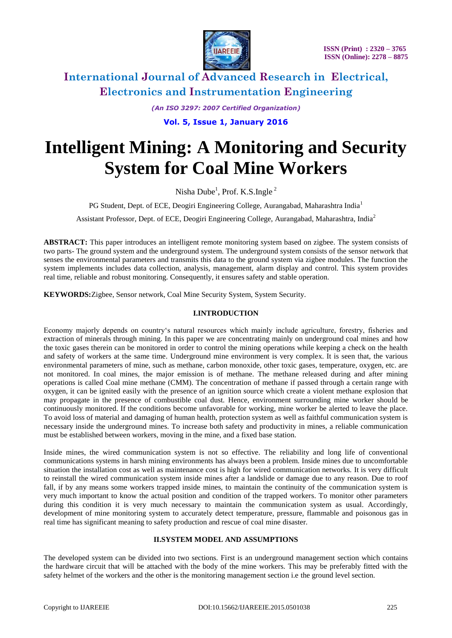

> *(An ISO 3297: 2007 Certified Organization)* **Vol. 5, Issue 1, January 2016**

# **Intelligent Mining: A Monitoring and Security System for Coal Mine Workers**

Nisha Dube<sup>1</sup>, Prof. K.S.Ingle<sup>2</sup>

PG Student, Dept. of ECE, Deogiri Engineering College, Aurangabad, Maharashtra India<sup>1</sup>

Assistant Professor, Dept. of ECE, Deogiri Engineering College, Aurangabad, Maharashtra, India<sup>2</sup>

**ABSTRACT:** This paper introduces an intelligent remote monitoring system based on zigbee. The system consists of two parts- The ground system and the underground system. The underground system consists of the sensor network that senses the environmental parameters and transmits this data to the ground system via zigbee modules. The function the system implements includes data collection, analysis, management, alarm display and control. This system provides real time, reliable and robust monitoring. Consequently, it ensures safety and stable operation.

**KEYWORDS:**Zigbee, Sensor network, Coal Mine Security System, System Security.

### **I.INTRODUCTION**

Economy majorly depends on country's natural resources which mainly include agriculture, forestry, fisheries and extraction of minerals through mining. In this paper we are concentrating mainly on underground coal mines and how the toxic gases therein can be monitored in order to control the mining operations while keeping a check on the health and safety of workers at the same time. Underground mine environment is very complex. It is seen that, the various environmental parameters of mine, such as methane, carbon monoxide, other toxic gases, temperature, oxygen, etc. are not monitored. In coal mines, the major emission is of methane. The methane released during and after mining operations is called Coal mine methane (CMM). The concentration of methane if passed through a certain range with oxygen, it can be ignited easily with the presence of an ignition source which create a violent methane explosion that may propagate in the presence of combustible coal dust. Hence, environment surrounding mine worker should be continuously monitored. If the conditions become unfavorable for working, mine worker be alerted to leave the place. To avoid loss of material and damaging of human health, protection system as well as faithful communication system is necessary inside the underground mines. To increase both safety and productivity in mines, a reliable communication must be established between workers, moving in the mine, and a fixed base station.

Inside mines, the wired communication system is not so effective. The reliability and long life of conventional communications systems in harsh mining environments has always been a problem. Inside mines due to uncomfortable situation the installation cost as well as maintenance cost is high for wired communication networks. It is very difficult to reinstall the wired communication system inside mines after a landslide or damage due to any reason. Due to roof fall, if by any means some workers trapped inside mines, to maintain the continuity of the communication system is very much important to know the actual position and condition of the trapped workers. To monitor other parameters during this condition it is very much necessary to maintain the communication system as usual. Accordingly, development of mine monitoring system to accurately detect temperature, pressure, flammable and poisonous gas in real time has significant meaning to safety production and rescue of coal mine disaster.

### **II.SYSTEM MODEL AND ASSUMPTIONS**

The developed system can be divided into two sections. First is an underground management section which contains the hardware circuit that will be attached with the body of the mine workers. This may be preferably fitted with the safety helmet of the workers and the other is the monitoring management section i.e the ground level section.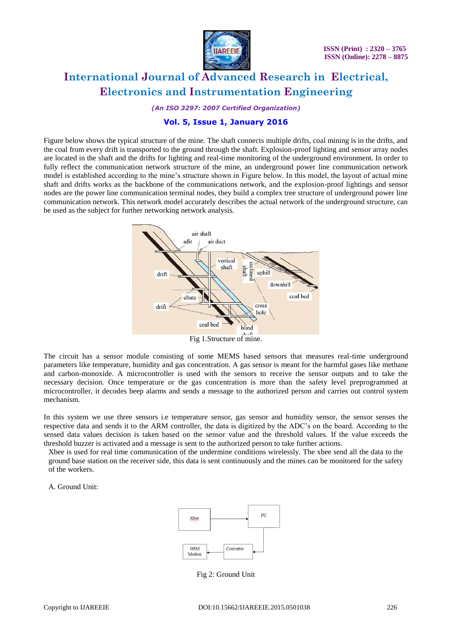

*(An ISO 3297: 2007 Certified Organization)*

### **Vol. 5, Issue 1, January 2016**

Figure below shows the typical structure of the mine. The shaft connects multiple drifts, coal mining is in the drifts, and the coal from every drift is transported to the ground through the shaft. Explosion-proof lighting and sensor array nodes are located in the shaft and the drifts for lighting and real-time monitoring of the underground environment. In order to fully reflect the communication network structure of the mine, an underground power line communication network model is established according to the mine's structure shown in Figure below. In this model, the layout of actual mine shaft and drifts works as the backbone of the communications network, and the explosion-proof lightings and sensor nodes are the power line communication terminal nodes, they build a complex tree structure of underground power line communication network. This network model accurately describes the actual network of the underground structure, can be used as the subject for further networking network analysis.



Fig 1.Structure of mine.

The circuit has a sensor module consisting of some MEMS based sensors that measures real-time underground parameters like temperature, humidity and gas concentration. A gas sensor is meant for the harmful gases like methane and carbon-monoxide. A microcontroller is used with the sensors to receive the sensor outputs and to take the necessary decision. Once temperature or the gas concentration is more than the safety level preprogrammed at microcontroller, it decodes beep alarms and sends a message to the authorized person and carries out control system mechanism.

In this system we use three sensors i.e temperature sensor, gas sensor and humidity sensor, the sensor senses the respective data and sends it to the ARM controller, the data is digitized by the ADC's on the board. According to the sensed data values decision is taken based on the sensor value and the threshold values. If the value exceeds the threshold buzzer is activated and a message is sent to the authorized person to take further actions.

Xbee is used for real time communication of the undermine conditions wirelessly. The xbee send all the data to the ground base station on the receiver side, this data is sent continuously and the mines can be monitored for the safety of the workers.

A. Ground Unit:



Fig 2: Ground Unit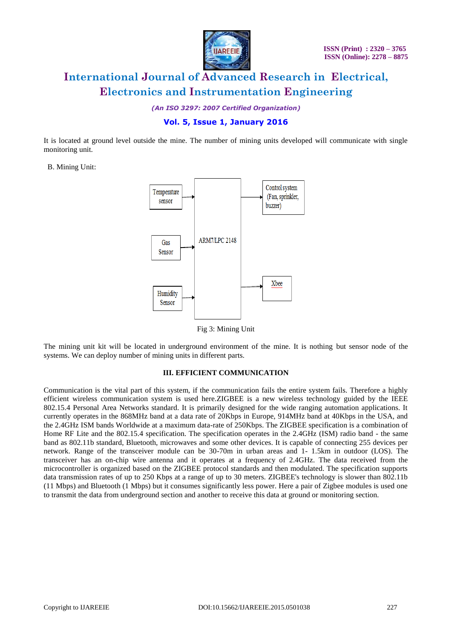

*(An ISO 3297: 2007 Certified Organization)*

### **Vol. 5, Issue 1, January 2016**

It is located at ground level outside the mine. The number of mining units developed will communicate with single monitoring unit.

B. Mining Unit:



Fig 3: Mining Unit

The mining unit kit will be located in underground environment of the mine. It is nothing but sensor node of the systems. We can deploy number of mining units in different parts.

#### **III. EFFICIENT COMMUNICATION**

Communication is the vital part of this system, if the communication fails the entire system fails. Therefore a highly efficient wireless communication system is used here.ZIGBEE is a new wireless technology guided by the IEEE 802.15.4 Personal Area Networks standard. It is primarily designed for the wide ranging automation applications. It currently operates in the 868MHz band at a data rate of 20Kbps in Europe, 914MHz band at 40Kbps in the USA, and the 2.4GHz ISM bands Worldwide at a maximum data-rate of 250Kbps. The ZIGBEE specification is a combination of Home RF Lite and the 802.15.4 specification. The specification operates in the 2.4GHz (ISM) radio band - the same band as 802.11b standard, Bluetooth, microwaves and some other devices. It is capable of connecting 255 devices per network. Range of the transceiver module can be 30-70m in urban areas and 1- 1.5km in outdoor (LOS). The transceiver has an on-chip wire antenna and it operates at a frequency of 2.4GHz. The data received from the microcontroller is organized based on the ZIGBEE protocol standards and then modulated. The specification supports data transmission rates of up to 250 Kbps at a range of up to 30 meters. ZIGBEE's technology is slower than 802.11b (11 Mbps) and Bluetooth (1 Mbps) but it consumes significantly less power. Here a pair of Zigbee modules is used one to transmit the data from underground section and another to receive this data at ground or monitoring section.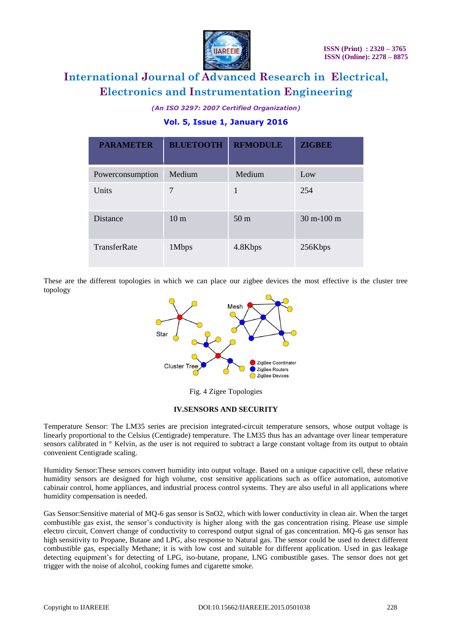

*(An ISO 3297: 2007 Certified Organization)*

# **Vol. 5, Issue 1, January 2016**

| <b>PARAMETER</b> | <b>BLUETOOTH</b> | <b>RFMODULE</b> | <b>ZIGBEE</b>                  |
|------------------|------------------|-----------------|--------------------------------|
| Powerconsumption | Medium           | Medium          | Low                            |
| Units            | 7                | 1               | 254                            |
| <b>Distance</b>  | 10 <sub>m</sub>  | 50 <sub>m</sub> | $30 \text{ m} - 100 \text{ m}$ |
| TransferRate     | 1Mbps            | 4.8Kbps         | 256Kbps                        |

These are the different topologies in which we can place our zigbee devices the most effective is the cluster tree topology



Fig. 4 Zigee Topologies

### **IV.SENSORS AND SECURITY**

Temperature Sensor: The LM35 series are precision integrated-circuit temperature sensors, whose output voltage is linearly proportional to the Celsius (Centigrade) temperature. The LM35 thus has an advantage over linear temperature sensors calibrated in  $\degree$  Kelvin, as the user is not required to subtract a large constant voltage from its output to obtain convenient Centigrade scaling.

Humidity Sensor:These sensors convert humidity into output voltage. Based on a unique capacitive cell, these relative humidity sensors are designed for high volume, cost sensitive applications such as office automation, automotive cabinair control, home appliances, and industrial process control systems. They are also useful in all applications where humidity compensation is needed.

Gas Sensor:Sensitive material of MQ-6 gas sensor is SnO2, which with lower conductivity in clean air. When the target combustible gas exist, the sensor's conductivity is higher along with the gas concentration rising. Please use simple electro circuit, Convert change of conductivity to correspond output signal of gas concentration. MQ-6 gas sensor has high sensitivity to Propane, Butane and LPG, also response to Natural gas. The sensor could be used to detect different combustible gas, especially Methane; it is with low cost and suitable for different application. Used in gas leakage detecting equipment's for detecting of LPG, iso-butane, propane, LNG combustible gases. The sensor does not get trigger with the noise of alcohol, cooking fumes and cigarette smoke.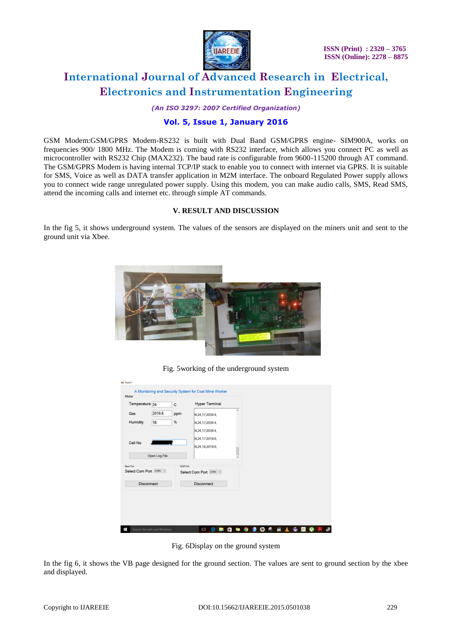

*(An ISO 3297: 2007 Certified Organization)*

## **Vol. 5, Issue 1, January 2016**

GSM Modem:GSM/GPRS Modem-RS232 is built with Dual Band GSM/GPRS engine- SIM900A, works on frequencies 900/ 1800 MHz. The Modem is coming with RS232 interface, which allows you connect PC as well as microcontroller with RS232 Chip (MAX232). The baud rate is configurable from 9600-115200 through AT command. The GSM/GPRS Modem is having internal TCP/IP stack to enable you to connect with internet via GPRS. It is suitable for SMS, Voice as well as DATA transfer application in M2M interface. The onboard Regulated Power supply allows you to connect wide range unregulated power supply. Using this modem, you can make audio calls, SMS, Read SMS, attend the incoming calls and internet etc. through simple AT commands.

### **V. RESULT AND DISCUSSION**

In the fig 5, it shows underground system. The values of the sensors are displayed on the miners unit and sent to the ground unit via Xbee.



Fig. 5working of the underground system

|                                                   | Temperature 24 | c               | <b>Hyper Terminal</b>                       |   |
|---------------------------------------------------|----------------|-----------------|---------------------------------------------|---|
| Gas                                               | 2019.6         | ppm             | N.24,17,2039.4,                             | × |
| Humidity                                          | 18             | $\%$            | N.24.17.2039.4.                             |   |
|                                                   |                |                 | N.24, 17, 2039.4.                           |   |
| Cell No.                                          |                |                 | N.24.17.2019.6.                             |   |
|                                                   |                |                 | N.24, 18, 2019.6,                           |   |
|                                                   | Open Log File  |                 |                                             |   |
| Xbee Port<br>Select Com Port COM4 v<br>Disconnect |                | <b>GSM Port</b> | Select Com Port COM3 v<br><b>Disconnect</b> |   |
|                                                   |                |                 |                                             |   |

Fig. 6Display on the ground system

In the fig 6, it shows the VB page designed for the ground section. The values are sent to ground section by the xbee and displayed.